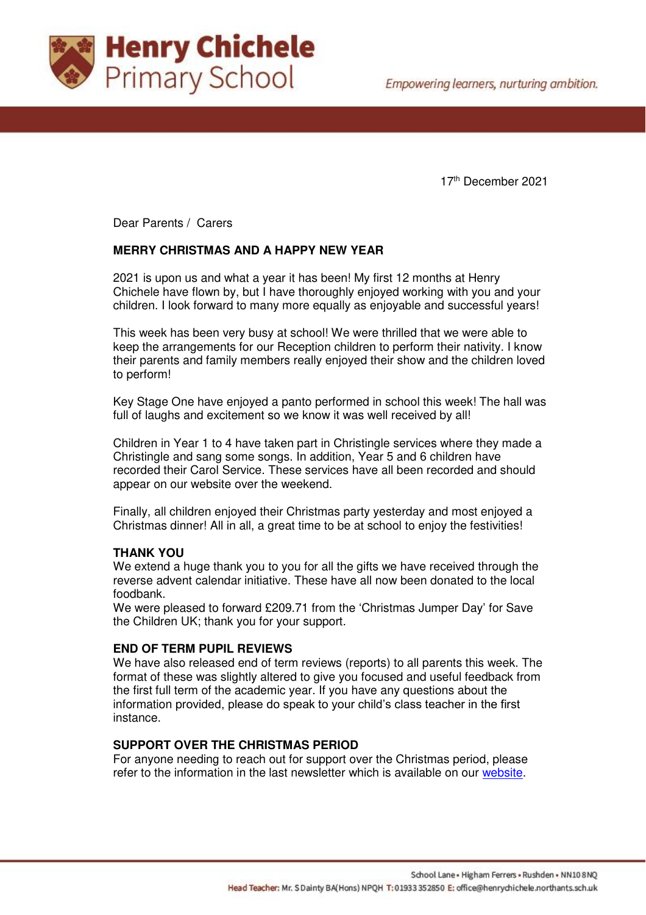

17th December 2021

Dear Parents / Carers

# **MERRY CHRISTMAS AND A HAPPY NEW YEAR**

2021 is upon us and what a year it has been! My first 12 months at Henry Chichele have flown by, but I have thoroughly enjoyed working with you and your children. I look forward to many more equally as enjoyable and successful years!

This week has been very busy at school! We were thrilled that we were able to keep the arrangements for our Reception children to perform their nativity. I know their parents and family members really enjoyed their show and the children loved to perform!

Key Stage One have enjoyed a panto performed in school this week! The hall was full of laughs and excitement so we know it was well received by all!

Children in Year 1 to 4 have taken part in Christingle services where they made a Christingle and sang some songs. In addition, Year 5 and 6 children have recorded their Carol Service. These services have all been recorded and should appear on our website over the weekend.

Finally, all children enjoyed their Christmas party yesterday and most enjoyed a Christmas dinner! All in all, a great time to be at school to enjoy the festivities!

### **THANK YOU**

We extend a huge thank you to you for all the gifts we have received through the reverse advent calendar initiative. These have all now been donated to the local foodbank.

We were pleased to forward £209.71 from the 'Christmas Jumper Day' for Save the Children UK; thank you for your support.

### **END OF TERM PUPIL REVIEWS**

We have also released end of term reviews (reports) to all parents this week. The format of these was slightly altered to give you focused and useful feedback from the first full term of the academic year. If you have any questions about the information provided, please do speak to your child's class teacher in the first instance.

## **SUPPORT OVER THE CHRISTMAS PERIOD**

For anyone needing to reach out for support over the Christmas period, please refer to the information in the last newsletter which is available on our [website.](https://www.henrychichele.northants.sch.uk/wp-content/uploads/2021/12/7.-Newsletter-101221.pdf)